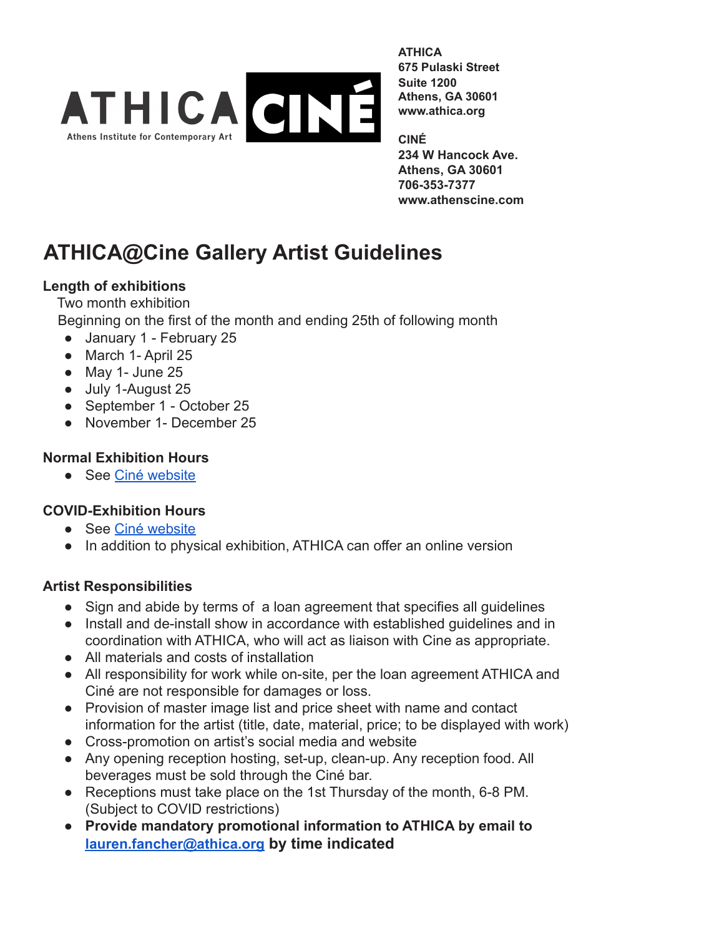

**ATHICA 675 Pulaski Street Suite 1200 Athens, GA 30601 www.athica.org**

**CINÉ 234 W Hancock Ave. Athens, GA 30601 706-353-7377 www.athenscine.com**

# **ATHICA@Cine Gallery Artist Guidelines**

#### **Length of exhibitions**

Two month exhibition Beginning on the first of the month and ending 25th of following month

- January 1 February 25
- March 1- April 25
- $\bullet$  May 1- June 25
- July 1-August 25
- September 1 October 25
- November 1- December 25

#### **Normal Exhibition Hours**

● See [Ciné website](https://www.athenscine.com)

### **COVID-Exhibition Hours**

- See [Ciné website](https://www.athenscine.com)
- In addition to physical exhibition, ATHICA can offer an online version

#### **Artist Responsibilities**

- Sign and abide by terms of a loan agreement that specifies all quidelines
- Install and de-install show in accordance with established guidelines and in coordination with ATHICA, who will act as liaison with Cine as appropriate.
- All materials and costs of installation
- All responsibility for work while on-site, per the loan agreement ATHICA and Ciné are not responsible for damages or loss.
- **●** Provision of master image list and price sheet with name and contact information for the artist (title, date, material, price; to be displayed with work)
- Cross-promotion on artist's social media and website
- Any opening reception hosting, set-up, clean-up. Any reception food. All beverages must be sold through the Ciné bar.
- Receptions must take place on the 1st Thursday of the month, 6-8 PM. (Subject to COVID restrictions)
- **● Provide mandatory promotional information to ATHICA by email to [lauren.fancher@athica.org](mailto:lauren.fancher@athica.org) by time indicated**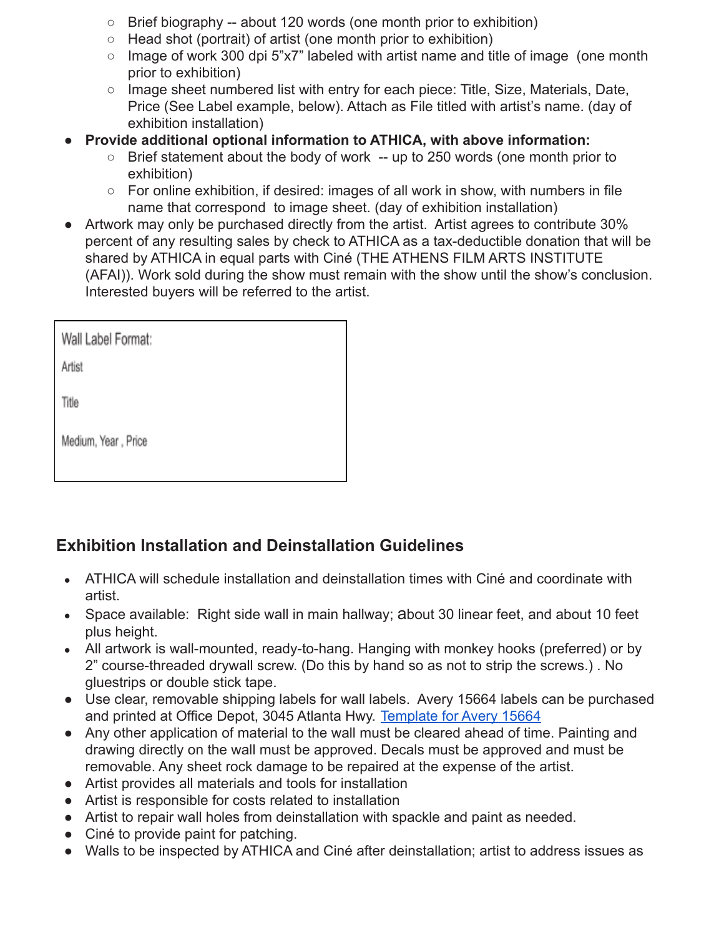- $\circ$  Brief biography -- about 120 words (one month prior to exhibition)
- Head shot (portrait) of artist (one month prior to exhibition)
- Image of work 300 dpi 5"x7" labeled with artist name and title of image (one month prior to exhibition)
- $\circ$  Image sheet numbered list with entry for each piece: Title, Size, Materials, Date, Price (See Label example, below). Attach as File titled with artist's name. (day of exhibition installation)
- **● Provide additional optional information to ATHICA, with above information:**
	- Brief statement about the body of work -- up to 250 words (one month prior to exhibition)
	- For online exhibition, if desired: images of all work in show, with numbers in file name that correspond to image sheet. (day of exhibition installation)
- Artwork may only be purchased directly from the artist. Artist agrees to contribute 30% percent of any resulting sales by check to ATHICA as a tax-deductible donation that will be shared by ATHICA in equal parts with Ciné (THE ATHENS FILM ARTS INSTITUTE (AFAI)). Work sold during the show must remain with the show until the show's conclusion. Interested buyers will be referred to the artist.

| Wall Label Format:  |
|---------------------|
| Artist              |
| Title               |
| Medium, Year, Price |
|                     |

## **Exhibition Installation and Deinstallation Guidelines**

- ATHICA will schedule installation and deinstallation times with Ciné and coordinate with artist.
- Space available: Right side wall in main hallway; about 30 linear feet, and about 10 feet plus height.
- All artwork is wall-mounted, ready-to-hang. Hanging with monkey hooks (preferred) or by 2" course-threaded drywall screw. (Do this by hand so as not to strip the screws.) . No gluestrips or double stick tape.
- Use clear, removable shipping labels for wall labels. Avery 15664 labels can be purchased and printed at Office Depot, 3045 Atlanta Hwy. Template [for Avery 15664](https://www.avery.com/templates/15664)
- Any other application of material to the wall must be cleared ahead of time. Painting and drawing directly on the wall must be approved. Decals must be approved and must be removable. Any sheet rock damage to be repaired at the expense of the artist.
- Artist provides all materials and tools for installation
- Artist is responsible for costs related to installation
- Artist to repair wall holes from deinstallation with spackle and paint as needed.
- Ciné to provide paint for patching.
- Walls to be inspected by ATHICA and Ciné after deinstallation; artist to address issues as